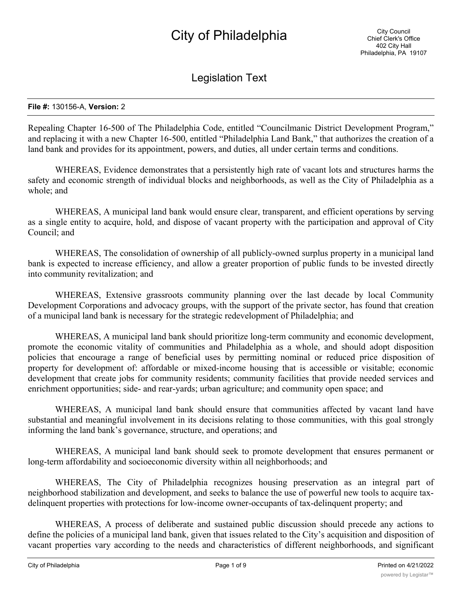# Legislation Text

#### **File #:** 130156-A, **Version:** 2

Repealing Chapter 16-500 of The Philadelphia Code, entitled "Councilmanic District Development Program," and replacing it with a new Chapter 16-500, entitled "Philadelphia Land Bank," that authorizes the creation of a land bank and provides for its appointment, powers, and duties, all under certain terms and conditions.

WHEREAS, Evidence demonstrates that a persistently high rate of vacant lots and structures harms the safety and economic strength of individual blocks and neighborhoods, as well as the City of Philadelphia as a whole; and

WHEREAS, A municipal land bank would ensure clear, transparent, and efficient operations by serving as a single entity to acquire, hold, and dispose of vacant property with the participation and approval of City Council; and

WHEREAS, The consolidation of ownership of all publicly-owned surplus property in a municipal land bank is expected to increase efficiency, and allow a greater proportion of public funds to be invested directly into community revitalization; and

WHEREAS, Extensive grassroots community planning over the last decade by local Community Development Corporations and advocacy groups, with the support of the private sector, has found that creation of a municipal land bank is necessary for the strategic redevelopment of Philadelphia; and

WHEREAS, A municipal land bank should prioritize long-term community and economic development, promote the economic vitality of communities and Philadelphia as a whole, and should adopt disposition policies that encourage a range of beneficial uses by permitting nominal or reduced price disposition of property for development of: affordable or mixed-income housing that is accessible or visitable; economic development that create jobs for community residents; community facilities that provide needed services and enrichment opportunities; side- and rear-yards; urban agriculture; and community open space; and

WHEREAS, A municipal land bank should ensure that communities affected by vacant land have substantial and meaningful involvement in its decisions relating to those communities, with this goal strongly informing the land bank's governance, structure, and operations; and

WHEREAS, A municipal land bank should seek to promote development that ensures permanent or long-term affordability and socioeconomic diversity within all neighborhoods; and

WHEREAS, The City of Philadelphia recognizes housing preservation as an integral part of neighborhood stabilization and development, and seeks to balance the use of powerful new tools to acquire taxdelinquent properties with protections for low-income owner-occupants of tax-delinquent property; and

WHEREAS, A process of deliberate and sustained public discussion should precede any actions to define the policies of a municipal land bank, given that issues related to the City's acquisition and disposition of vacant properties vary according to the needs and characteristics of different neighborhoods, and significant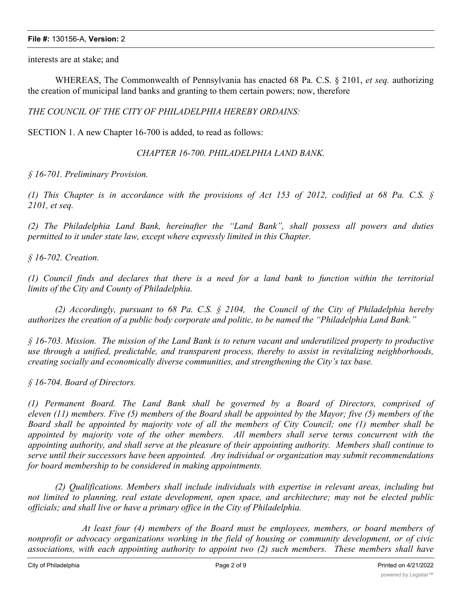interests are at stake; and

WHEREAS, The Commonwealth of Pennsylvania has enacted 68 Pa. C.S. § 2101, *et seq.* authorizing the creation of municipal land banks and granting to them certain powers; now, therefore

*THE COUNCIL OF THE CITY OF PHILADELPHIA HEREBY ORDAINS:*

SECTION 1. A new Chapter 16-700 is added, to read as follows:

*CHAPTER 16-700. PHILADELPHIA LAND BANK.*

*§ 16-701. Preliminary Provision.*

(1) This Chapter is in accordance with the provisions of Act 153 of 2012, codified at 68 Pa. C.S.  $\S$ *2101, et seq.*

*(2) The Philadelphia Land Bank, hereinafter the "Land Bank", shall possess all powers and duties permitted to it under state law, except where expressly limited in this Chapter.*

*§ 16-702. Creation.*

(1) Council finds and declares that there is a need for a land bank to function within the territorial *limits of the City and County of Philadelphia.*

*(2) Accordingly, pursuant to 68 Pa. C.S. § 2104, the Council of the City of Philadelphia hereby authorizes the creation of a public body corporate and politic, to be named the "Philadelphia Land Bank."*

 $\frac{1}{2}$  16-703. Mission. The mission of the Land Bank is to return vacant and underutilized property to productive *use through a unified, predictable, and transparent process, thereby to assist in revitalizing neighborhoods, creating socially and economically diverse communities, and strengthening the City's tax base.*

*§ 16-704. Board of Directors.*

*(1) Permanent Board. The Land Bank shall be governed by a Board of Directors, comprised of* eleven (11) members. Five (5) members of the Board shall be appointed by the Mayor; five (5) members of the Board shall be appointed by majority vote of all the members of City Council; one (1) member shall be *appointed by majority vote of the other members. All members shall serve terms concurrent with the appointing authority, and shall serve at the pleasure of their appointing authority. Members shall continue to serve until their successors have been appointed. Any individual or organization may submit recommendations for board membership to be considered in making appointments.*

*(2) Qualifications. Members shall include individuals with expertise in relevant areas, including but not limited to planning, real estate development, open space, and architecture; may not be elected public officials; and shall live or have a primary office in the City of Philadelphia.*

*At least four (4) members of the Board must be employees, members, or board members of nonprofit or advocacy organizations working in the field of housing or community development, or of civic associations, with each appointing authority to appoint two (2) such members. These members shall have*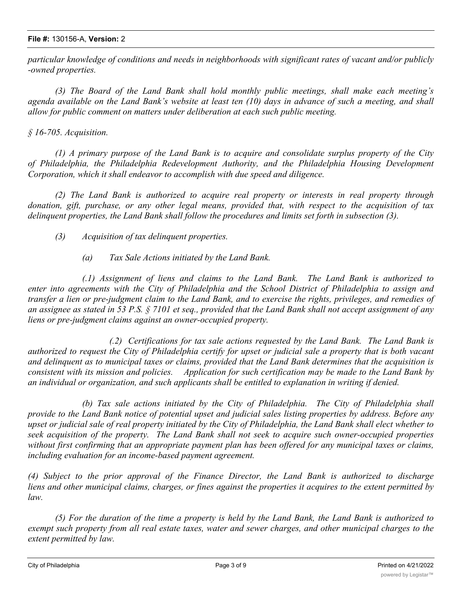*particular knowledge of conditions and needs in neighborhoods with significant rates of vacant and/or publicly -owned properties.*

*(3) The Board of the Land Bank shall hold monthly public meetings, shall make each meeting's* agenda available on the Land Bank's website at least ten (10) days in advance of such a meeting, and shall *allow for public comment on matters under deliberation at each such public meeting.*

# *§ 16-705. Acquisition.*

*(1) A primary purpose of the Land Bank is to acquire and consolidate surplus property of the City of Philadelphia, the Philadelphia Redevelopment Authority, and the Philadelphia Housing Development Corporation, which it shall endeavor to accomplish with due speed and diligence.*

*(2) The Land Bank is authorized to acquire real property or interests in real property through donation, gift, purchase, or any other legal means, provided that, with respect to the acquisition of tax delinquent properties, the Land Bank shall follow the procedures and limits set forth in subsection (3).*

*(3) Acquisition of tax delinquent properties.*

*(a) Tax Sale Actions initiated by the Land Bank.*

*(.1) Assignment of liens and claims to the Land Bank. The Land Bank is authorized to enter into agreements with the City of Philadelphia and the School District of Philadelphia to assign and* transfer a lien or pre-judgment claim to the Land Bank, and to exercise the rights, privileges, and remedies of an assignee as stated in 53 P.S.  $\S$  7101 et seq., provided that the Land Bank shall not accept assignment of any *liens or pre-judgment claims against an owner-occupied property.*

*(.2) Certifications for tax sale actions requested by the Land Bank. The Land Bank is* authorized to request the City of Philadelphia certify for upset or judicial sale a property that is both vacant and delinguent as to municipal taxes or claims, provided that the Land Bank determines that the acquisition is consistent with its mission and policies. Application for such certification may be made to the Land Bank by *an individual or organization, and such applicants shall be entitled to explanation in writing if denied.*

*(b) Tax sale actions initiated by the City of Philadelphia. The City of Philadelphia shall* provide to the Land Bank notice of potential upset and judicial sales listing properties by address. Before any upset or judicial sale of real property initiated by the City of Philadelphia, the Land Bank shall elect whether to *seek acquisition of the property. The Land Bank shall not seek to acquire such owner-occupied properties* without first confirming that an appropriate payment plan has been offered for any municipal taxes or claims, *including evaluation for an income-based payment agreement.*

*(4) Subject to the prior approval of the Finance Director, the Land Bank is authorized to discharge* liens and other municipal claims, charges, or fines against the properties it acquires to the extent permitted by *law.*

(5) For the duration of the time a property is held by the Land Bank, the Land Bank is authorized to exempt such property from all real estate taxes, water and sewer charges, and other municipal charges to the *extent permitted by law.*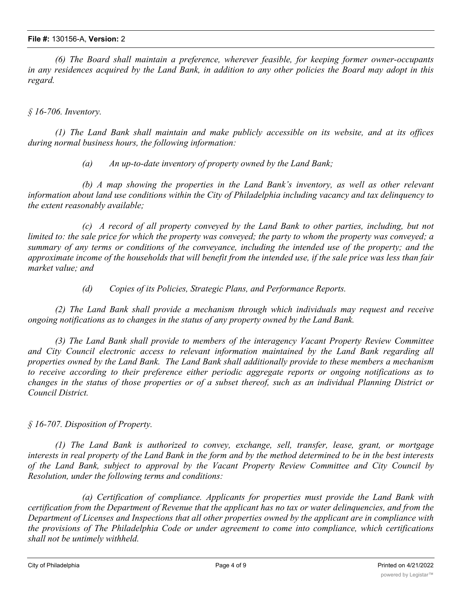*(6) The Board shall maintain a preference, wherever feasible, for keeping former owner-occupants* in any residences acquired by the Land Bank, in addition to any other policies the Board may adopt in this *regard.*

*§ 16-706. Inventory.*

*(1) The Land Bank shall maintain and make publicly accessible on its website, and at its offices during normal business hours, the following information:*

*(a) An up-to-date inventory of property owned by the Land Bank;*

*(b) A map showing the properties in the Land Bank's inventory, as well as other relevant information about land use conditions within the City of Philadelphia including vacancy and tax delinquency to the extent reasonably available;*

*(c) A record of all property conveyed by the Land Bank to other parties, including, but not* limited to: the sale price for which the property was conveyed; the party to whom the property was conveyed; a summary of any terms or conditions of the conveyance, including the intended use of the property; and the approximate income of the households that will benefit from the intended use, if the sale price was less than fair *market value; and*

*(d) Copies of its Policies, Strategic Plans, and Performance Reports.*

*(2) The Land Bank shall provide a mechanism through which individuals may request and receive ongoing notifications as to changes in the status of any property owned by the Land Bank.*

*(3) The Land Bank shall provide to members of the interagency Vacant Property Review Committee and City Council electronic access to relevant information maintained by the Land Bank regarding all properties owned by the Land Bank. The Land Bank shall additionally provide to these members a mechanism to receive according to their preference either periodic aggregate reports or ongoing notifications as to* changes in the status of those properties or of a subset thereof, such as an individual Planning District or *Council District.*

*§ 16-707. Disposition of Property.*

*(1) The Land Bank is authorized to convey, exchange, sell, transfer, lease, grant, or mortgage* interests in real property of the Land Bank in the form and by the method determined to be in the best interests *of the Land Bank, subject to approval by the Vacant Property Review Committee and City Council by Resolution, under the following terms and conditions:*

*(a) Certification of compliance. Applicants for properties must provide the Land Bank with* certification from the Department of Revenue that the applicant has no tax or water delinguencies, and from the Department of Licenses and Inspections that all other properties owned by the applicant are in compliance with *the provisions of The Philadelphia Code or under agreement to come into compliance, which certifications shall not be untimely withheld.*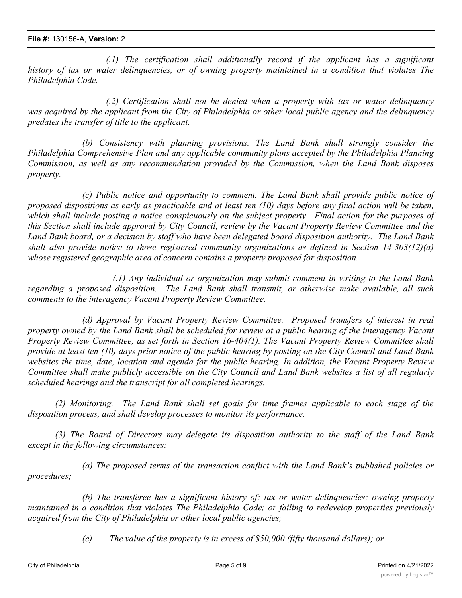*(.1) The certification shall additionally record if the applicant has a significant history of tax or water delinquencies, or of owning property maintained in a condition that violates The Philadelphia Code.*

*(.2) Certification shall not be denied when a property with tax or water delinquency* was acquired by the applicant from the City of Philadelphia or other local public agency and the delinquency *predates the transfer of title to the applicant.*

*(b) Consistency with planning provisions. The Land Bank shall strongly consider the Philadelphia Comprehensive Plan and any applicable community plans accepted by the Philadelphia Planning Commission, as well as any recommendation provided by the Commission, when the Land Bank disposes property.*

*(c) Public notice and opportunity to comment. The Land Bank shall provide public notice of* proposed dispositions as early as practicable and at least ten  $(10)$  days before any final action will be taken, which shall include posting a notice conspicuously on the subject property. Final action for the purposes of this Section shall include approval by City Council, review by the Vacant Property Review Committee and the Land Bank board, or a decision by staff who have been delegated board disposition authority. The Land Bank *shall also provide notice to those registered community organizations as defined in Section 14-303(12)(a) whose registered geographic area of concern contains a property proposed for disposition.*

*(.1) Any individual or organization may submit comment in writing to the Land Bank regarding a proposed disposition. The Land Bank shall transmit, or otherwise make available, all such comments to the interagency Vacant Property Review Committee.*

*(d) Approval by Vacant Property Review Committee. Proposed transfers of interest in real* property owned by the Land Bank shall be scheduled for review at a public hearing of the interagency Vacant *Property Review Committee, as set forth in Section 16-404(1). The Vacant Property Review Committee shall* provide at least ten (10) days prior notice of the public hearing by posting on the City Council and Land Bank websites the time, date, location and agenda for the public hearing. In addition, the Vacant Property Review Committee shall make publicly accessible on the City Council and Land Bank websites a list of all regularly *scheduled hearings and the transcript for all completed hearings.*

*(2) Monitoring. The Land Bank shall set goals for time frames applicable to each stage of the disposition process, and shall develop processes to monitor its performance.*

*(3) The Board of Directors may delegate its disposition authority to the staff of the Land Bank except in the following circumstances:*

*(a) The proposed terms of the transaction conflict with the Land Bank's published policies or procedures;*

*(b) The transferee has a significant history of: tax or water delinquencies; owning property maintained in a condition that violates The Philadelphia Code; or failing to redevelop properties previously acquired from the City of Philadelphia or other local public agencies;*

*(c) The value of the property is in excess of \$50,000 (fifty thousand dollars); or*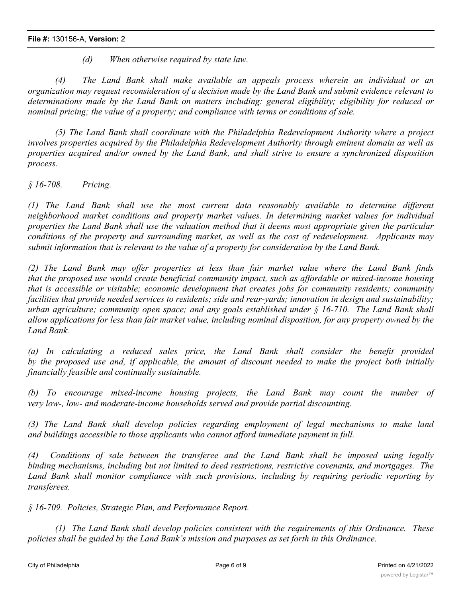*(d) When otherwise required by state law.*

*(4) The Land Bank shall make available an appeals process wherein an individual or an* organization may request reconsideration of a decision made by the Land Bank and submit evidence relevant to *determinations made by the Land Bank on matters including: general eligibility; eligibility for reduced or nominal pricing; the value of a property; and compliance with terms or conditions of sale.*

*(5) The Land Bank shall coordinate with the Philadelphia Redevelopment Authority where a project involves properties acquired by the Philadelphia Redevelopment Authority through eminent domain as well as properties acquired and/or owned by the Land Bank, and shall strive to ensure a synchronized disposition process.*

*§ 16-708. Pricing.*

*(1) The Land Bank shall use the most current data reasonably available to determine different neighborhood market conditions and property market values. In determining market values for individual* properties the Land Bank shall use the valuation method that it deems most appropriate given the particular *conditions of the property and surrounding market, as well as the cost of redevelopment. Applicants may submit information that is relevant to the value of a property for consideration by the Land Bank.*

*(2) The Land Bank may offer properties at less than fair market value where the Land Bank finds that the proposed use would create beneficial community impact, such as affordable or mixed-income housing that is accessible or visitable; economic development that creates jobs for community residents; community facilities that provide needed services to residents; side and rear-yards; innovation in design and sustainability; urban agriculture; community open space; and any goals established under § 16-710. The Land Bank shall* allow applications for less than fair market value, including nominal disposition, for any property owned by the *Land Bank.*

*(a) In calculating a reduced sales price, the Land Bank shall consider the benefit provided* by the proposed use and, if applicable, the amount of discount needed to make the project both initially *financially feasible and continually sustainable.*

*(b) To encourage mixed-income housing projects, the Land Bank may count the number of very low-, low- and moderate-income households served and provide partial discounting.*

*(3) The Land Bank shall develop policies regarding employment of legal mechanisms to make land and buildings accessible to those applicants who cannot afford immediate payment in full.*

*(4) Conditions of sale between the transferee and the Land Bank shall be imposed using legally binding mechanisms, including but not limited to deed restrictions, restrictive covenants, and mortgages. The Land Bank shall monitor compliance with such provisions, including by requiring periodic reporting by transferees.*

*§ 16-709. Policies, Strategic Plan, and Performance Report.*

*(1) The Land Bank shall develop policies consistent with the requirements of this Ordinance. These policies shall be guided by the Land Bank's mission and purposes as set forth in this Ordinance.*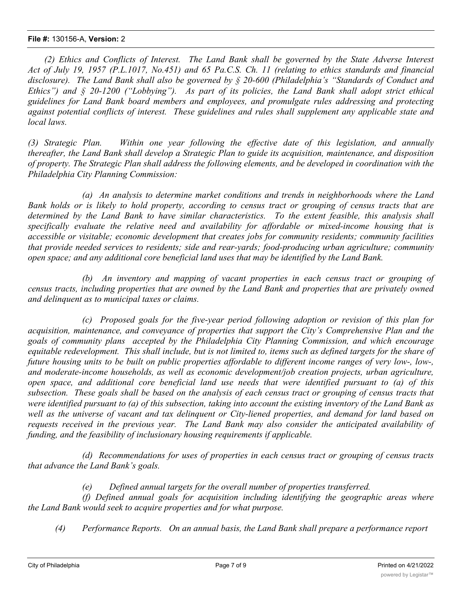## **File #:** 130156-A, **Version:** 2

*(2) Ethics and Conflicts of Interest. The Land Bank shall be governed by the State Adverse Interest* Act of July 19, 1957 (P.L.1017, No.451) and 65 Pa.C.S. Ch. 11 (relating to ethics standards and financial *disclosure). The Land Bank shall also be governed by § 20-600 (Philadelphia's "Standards of Conduct and Ethics") and § 20-1200 ("Lobbying"). As part of its policies, the Land Bank shall adopt strict ethical guidelines for Land Bank board members and employees, and promulgate rules addressing and protecting against potential conflicts of interest. These guidelines and rules shall supplement any applicable state and local laws.*

*(3) Strategic Plan. Within one year following the effective date of this legislation, and annually thereafter, the Land Bank shall develop a Strategic Plan to guide its acquisition, maintenance, and disposition* of property. The Strategic Plan shall address the following elements, and be developed in coordination with the *Philadelphia City Planning Commission:*

*(a) An analysis to determine market conditions and trends in neighborhoods where the Land* Bank holds or is likely to hold property, according to census tract or grouping of census tracts that are *determined by the Land Bank to have similar characteristics. To the extent feasible, this analysis shall specifically evaluate the relative need and availability for affordable or mixed-income housing that is accessible or visitable; economic development that creates jobs for community residents; community facilities that provide needed services to residents; side and rear-yards; food-producing urban agriculture; community open space; and any additional core beneficial land uses that may be identified by the Land Bank.*

*(b) An inventory and mapping of vacant properties in each census tract or grouping of* census tracts, including properties that are owned by the Land Bank and properties that are privately owned *and delinquent as to municipal taxes or claims.*

*(c) Proposed goals for the five-year period following adoption or revision of this plan for acquisition, maintenance, and conveyance of properties that support the City's Comprehensive Plan and the goals of community plans accepted by the Philadelphia City Planning Commission, and which encourage* equitable redevelopment. This shall include, but is not limited to, items such as defined targets for the share of future housing units to be built on public properties affordable to different income ranges of very low-, low-, *and moderate-income households, as well as economic development/job creation projects, urban agriculture, open space, and additional core beneficial land use needs that were identified pursuant to (a) of this* subsection. These goals shall be based on the analysis of each census tract or grouping of census tracts that were identified pursuant to (a) of this subsection, taking into account the existing inventory of the Land Bank as well as the universe of vacant and tax delinguent or City-liened properties, and demand for land based on *requests received in the previous year. The Land Bank may also consider the anticipated availability of funding, and the feasibility of inclusionary housing requirements if applicable.*

*(d) Recommendations for uses of properties in each census tract or grouping of census tracts that advance the Land Bank's goals.*

*(e) Defined annual targets for the overall number of properties transferred.*

*(f) Defined annual goals for acquisition including identifying the geographic areas where the Land Bank would seek to acquire properties and for what purpose.*

*(4) Performance Reports. On an annual basis, the Land Bank shall prepare a performance report*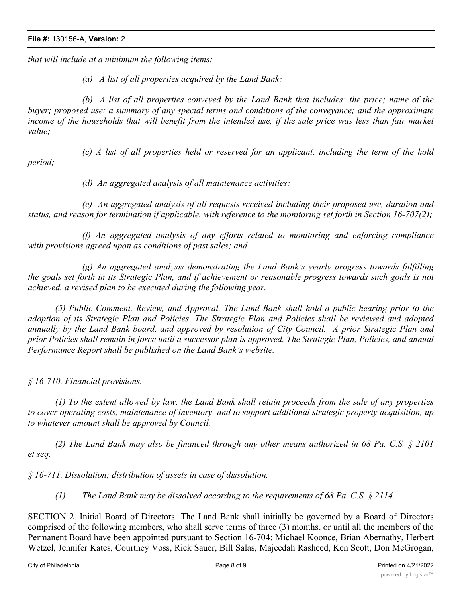*that will include at a minimum the following items:*

*(a) A list of all properties acquired by the Land Bank;*

*(b) A list of all properties conveyed by the Land Bank that includes: the price; name of the buyer; proposed use; a summary of any special terms and conditions of the conveyance; and the approximate* income of the households that will benefit from the intended use, if the sale price was less than fair market *value;*

*period;*

*(c) A list of all properties held or reserved for an applicant, including the term of the hold*

*(d) An aggregated analysis of all maintenance activities;*

*(e) An aggregated analysis of all requests received including their proposed use, duration and status, and reason for termination if applicable, with reference to the monitoring set forth in Section 16-707(2);*

*(f) An aggregated analysis of any efforts related to monitoring and enforcing compliance with provisions agreed upon as conditions of past sales; and*

*(g) An aggregated analysis demonstrating the Land Bank's yearly progress towards fulfilling* the goals set forth in its Strategic Plan, and if achievement or reasonable progress towards such goals is not *achieved, a revised plan to be executed during the following year.*

*(5) Public Comment, Review, and Approval. The Land Bank shall hold a public hearing prior to the* adoption of its Strategic Plan and Policies. The Strategic Plan and Policies shall be reviewed and adopted annually by the Land Bank board, and approved by resolution of City Council. A prior Strategic Plan and prior Policies shall remain in force until a successor plan is approved. The Strategic Plan, Policies, and annual *Performance Report shall be published on the Land Bank's website.*

*§ 16-710. Financial provisions.*

(1) To the extent allowed by law, the Land Bank shall retain proceeds from the sale of any properties *to cover operating costs, maintenance of inventory, and to support additional strategic property acquisition, up to whatever amount shall be approved by Council.*

(2) The Land Bank may also be financed through any other means authorized in 68 Pa. C.S.  $\S$  2101 *et seq.*

*§ 16-711. Dissolution; distribution of assets in case of dissolution.*

*(1) The Land Bank may be dissolved according to the requirements of 68 Pa. C.S. § 2114.*

SECTION 2. Initial Board of Directors. The Land Bank shall initially be governed by a Board of Directors comprised of the following members, who shall serve terms of three (3) months, or until all the members of the Permanent Board have been appointed pursuant to Section 16-704: Michael Koonce, Brian Abernathy, Herbert Wetzel, Jennifer Kates, Courtney Voss, Rick Sauer, Bill Salas, Majeedah Rasheed, Ken Scott, Don McGrogan,